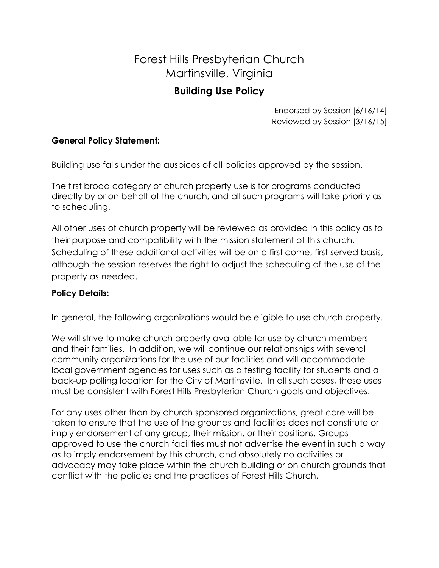# Forest Hills Presbyterian Church Martinsville, Virginia **Building Use Policy**

Endorsed by Session [6/16/14] Reviewed by Session [3/16/15]

# **General Policy Statement:**

Building use falls under the auspices of all policies approved by the session.

The first broad category of church property use is for programs conducted directly by or on behalf of the church, and all such programs will take priority as to scheduling.

All other uses of church property will be reviewed as provided in this policy as to their purpose and compatibility with the mission statement of this church. Scheduling of these additional activities will be on a first come, first served basis, although the session reserves the right to adjust the scheduling of the use of the property as needed.

# **Policy Details:**

In general, the following organizations would be eligible to use church property.

We will strive to make church property available for use by church members and their families. In addition, we will continue our relationships with several community organizations for the use of our facilities and will accommodate local government agencies for uses such as a testing facility for students and a back-up polling location for the City of Martinsville. In all such cases, these uses must be consistent with Forest Hills Presbyterian Church goals and objectives.

For any uses other than by church sponsored organizations, great care will be taken to ensure that the use of the grounds and facilities does not constitute or imply endorsement of any group, their mission, or their positions. Groups approved to use the church facilities must not advertise the event in such a way as to imply endorsement by this church, and absolutely no activities or advocacy may take place within the church building or on church grounds that conflict with the policies and the practices of Forest Hills Church.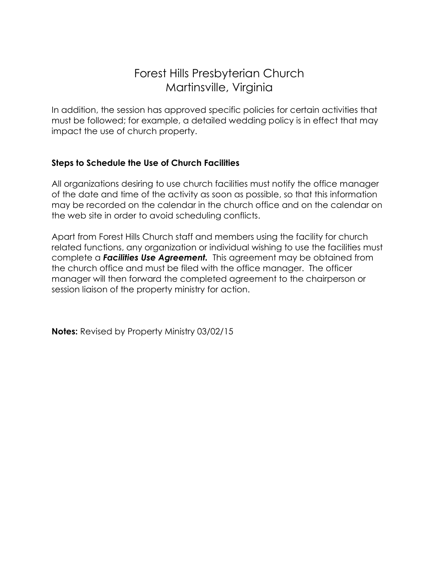# Forest Hills Presbyterian Church Martinsville, Virginia

In addition, the session has approved specific policies for certain activities that must be followed; for example, a detailed wedding policy is in effect that may impact the use of church property.

# **Steps to Schedule the Use of Church Facilities**

All organizations desiring to use church facilities must notify the office manager of the date and time of the activity as soon as possible, so that this information may be recorded on the calendar in the church office and on the calendar on the web site in order to avoid scheduling conflicts.

Apart from Forest Hills Church staff and members using the facility for church related functions, any organization or individual wishing to use the facilities must complete a *Facilities Use Agreement.* This agreement may be obtained from the church office and must be filed with the office manager. The officer manager will then forward the completed agreement to the chairperson or session liaison of the property ministry for action.

**Notes:** Revised by Property Ministry 03/02/15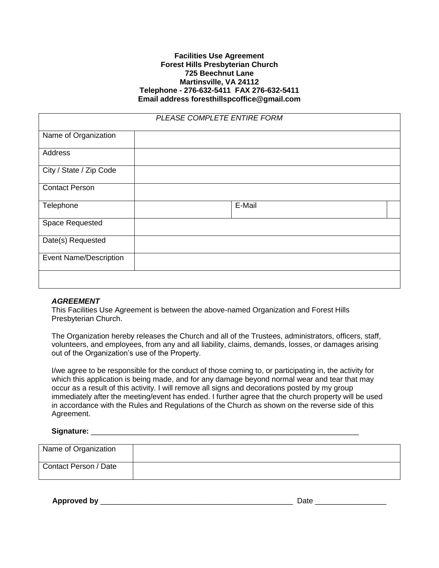### **Facilities Use Agreement Forest Hills Presbyterian Church 725 Beechnut Lane Martinsville, VA 24112 Telephone - 276-632-5411 FAX 276-632-5411 Email address foresthillspcoffice@gmail.com**

| PLEASE COMPLETE ENTIRE FORM   |  |        |
|-------------------------------|--|--------|
| Name of Organization          |  |        |
| Address                       |  |        |
| City / State / Zip Code       |  |        |
| <b>Contact Person</b>         |  |        |
| Telephone                     |  | E-Mail |
| Space Requested               |  |        |
| Date(s) Requested             |  |        |
| <b>Event Name/Description</b> |  |        |
|                               |  |        |

## *AGREEMENT*

This Facilities Use Agreement is between the above-named Organization and Forest Hills Presbyterian Church.

The Organization hereby releases the Church and all of the Trustees, administrators, officers, staff, volunteers, and employees, from any and all liability, claims, demands, losses, or damages arising out of the Organization's use of the Property.

I/we agree to be responsible for the conduct of those coming to, or participating in, the activity for which this application is being made, and for any damage beyond normal wear and tear that may occur as a result of this activity. I will remove all signs and decorations posted by my group immediately after the meeting/event has ended. I further agree that the church property will be used in accordance with the Rules and Regulations of the Church as shown on the reverse side of this Agreement.

#### **Signature:** \_\_\_\_\_\_\_\_\_\_\_\_\_\_\_\_\_\_\_\_\_\_\_\_\_\_\_\_\_\_\_\_\_\_\_\_\_\_\_\_\_\_\_\_\_\_\_\_\_\_\_\_\_\_\_\_\_\_\_\_\_\_\_\_

| Name of Organization  |  |
|-----------------------|--|
| Contact Person / Date |  |

**Approved by** \_\_\_\_\_\_\_\_\_\_\_\_\_\_\_\_\_\_\_\_\_\_\_\_\_\_\_\_\_\_\_\_\_\_\_\_\_\_\_\_\_\_\_\_\_\_ Date \_\_\_\_\_\_\_\_\_\_\_\_\_\_\_\_\_